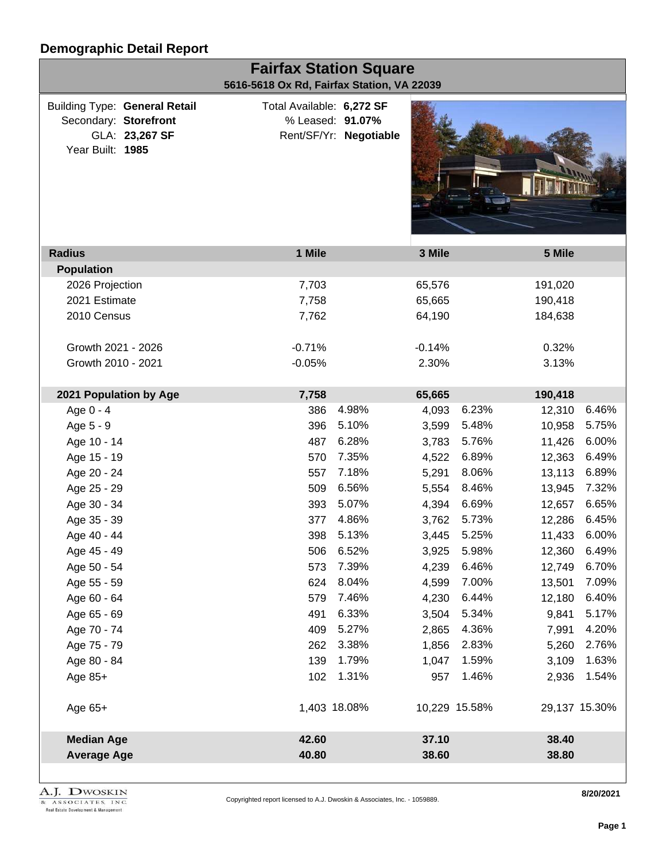| <b>Fairfax Station Square</b><br>5616-5618 Ox Rd, Fairfax Station, VA 22039 |                                                        |                                               |                        |          |               |               |       |  |
|-----------------------------------------------------------------------------|--------------------------------------------------------|-----------------------------------------------|------------------------|----------|---------------|---------------|-------|--|
| Secondary: Storefront<br>Year Built: 1985                                   | <b>Building Type: General Retail</b><br>GLA: 23,267 SF | Total Available: 6,272 SF<br>% Leased: 91.07% | Rent/SF/Yr: Negotiable |          |               |               |       |  |
| <b>Radius</b>                                                               |                                                        | 1 Mile                                        |                        | 3 Mile   |               | 5 Mile        |       |  |
| <b>Population</b>                                                           |                                                        |                                               |                        |          |               |               |       |  |
| 2026 Projection                                                             |                                                        | 7,703                                         |                        | 65,576   |               | 191,020       |       |  |
| 2021 Estimate                                                               |                                                        | 7,758                                         |                        | 65,665   |               | 190,418       |       |  |
| 2010 Census                                                                 |                                                        | 7,762                                         |                        | 64,190   |               | 184,638       |       |  |
| Growth 2021 - 2026                                                          |                                                        | $-0.71%$                                      |                        | $-0.14%$ |               | 0.32%         |       |  |
| Growth 2010 - 2021                                                          |                                                        | $-0.05%$                                      |                        | 2.30%    |               | 3.13%         |       |  |
| 2021 Population by Age                                                      |                                                        | 7,758                                         |                        | 65,665   |               | 190,418       |       |  |
| Age 0 - 4                                                                   |                                                        | 386                                           | 4.98%                  | 4,093    | 6.23%         | 12,310        | 6.46% |  |
| Age 5 - 9                                                                   |                                                        | 396                                           | 5.10%                  | 3,599    | 5.48%         | 10,958        | 5.75% |  |
| Age 10 - 14                                                                 |                                                        | 487                                           | 6.28%                  | 3,783    | 5.76%         | 11,426        | 6.00% |  |
| Age 15 - 19                                                                 |                                                        | 570                                           | 7.35%                  | 4,522    | 6.89%         | 12,363        | 6.49% |  |
| Age 20 - 24                                                                 |                                                        | 557                                           | 7.18%                  | 5,291    | 8.06%         | 13,113        | 6.89% |  |
| Age 25 - 29                                                                 |                                                        | 509                                           | 6.56%                  | 5,554    | 8.46%         | 13,945        | 7.32% |  |
| Age 30 - 34                                                                 |                                                        | 393                                           | 5.07%                  | 4,394    | 6.69%         | 12,657        | 6.65% |  |
| Age 35 - 39                                                                 |                                                        | 377                                           | 4.86%                  | 3,762    | 5.73%         | 12,286        | 6.45% |  |
| Age 40 - 44                                                                 |                                                        | 398                                           | 5.13%                  | 3,445    | 5.25%         | 11,433        | 6.00% |  |
| Age 45 - 49                                                                 |                                                        |                                               | 506 6.52%              |          | 3,925 5.98%   | 12,360 6.49%  |       |  |
| Age 50 - 54                                                                 |                                                        | 573                                           | 7.39%                  | 4,239    | 6.46%         | 12,749        | 6.70% |  |
| Age 55 - 59                                                                 |                                                        | 624                                           | 8.04%                  | 4,599    | 7.00%         | 13,501        | 7.09% |  |
| Age 60 - 64                                                                 |                                                        | 579                                           | 7.46%                  | 4,230    | 6.44%         | 12,180        | 6.40% |  |
| Age 65 - 69                                                                 |                                                        | 491                                           | 6.33%                  | 3,504    | 5.34%         | 9,841         | 5.17% |  |
| Age 70 - 74                                                                 |                                                        | 409                                           | 5.27%                  | 2,865    | 4.36%         | 7,991         | 4.20% |  |
| Age 75 - 79                                                                 |                                                        | 262                                           | 3.38%                  | 1,856    | 2.83%         | 5,260         | 2.76% |  |
| Age 80 - 84                                                                 |                                                        | 139                                           | 1.79%                  | 1,047    | 1.59%         | 3,109         | 1.63% |  |
| Age $85+$                                                                   |                                                        | 102                                           | 1.31%                  | 957      | 1.46%         | 2,936         | 1.54% |  |
| Age $65+$                                                                   |                                                        | 1,403 18.08%                                  |                        |          | 10,229 15.58% | 29,137 15.30% |       |  |
| <b>Median Age</b>                                                           |                                                        | 42.60                                         |                        | 37.10    |               | 38.40         |       |  |
| <b>Average Age</b>                                                          |                                                        | 40.80                                         |                        | 38.60    |               | 38.80         |       |  |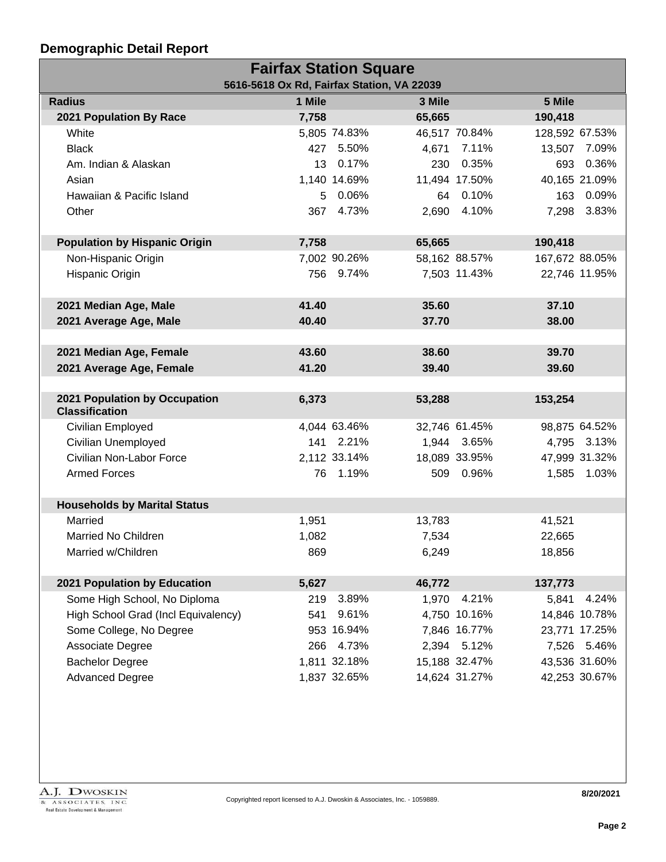| <b>Fairfax Station Square</b>              |        |              |        |               |                |               |  |  |
|--------------------------------------------|--------|--------------|--------|---------------|----------------|---------------|--|--|
| 5616-5618 Ox Rd, Fairfax Station, VA 22039 |        |              |        |               |                |               |  |  |
| <b>Radius</b>                              | 1 Mile |              | 3 Mile |               | 5 Mile         |               |  |  |
| 2021 Population By Race                    | 7,758  |              | 65,665 |               | 190,418        |               |  |  |
| White                                      |        | 5,805 74.83% |        | 46,517 70.84% | 128,592 67.53% |               |  |  |
| <b>Black</b>                               |        | 427 5.50%    |        | 4,671 7.11%   |                | 13,507 7.09%  |  |  |
| Am. Indian & Alaskan                       | 13     | 0.17%        |        | 230 0.35%     | 693            | 0.36%         |  |  |
| Asian                                      |        | 1,140 14.69% |        | 11,494 17.50% |                | 40,165 21.09% |  |  |
| Hawaiian & Pacific Island                  | 5      | $0.06\%$     |        | 64 0.10%      |                | 163 0.09%     |  |  |
| Other                                      |        | 367 4.73%    |        | 2,690 4.10%   |                | 7,298 3.83%   |  |  |
|                                            |        |              |        |               |                |               |  |  |
| <b>Population by Hispanic Origin</b>       | 7,758  |              | 65,665 |               | 190,418        |               |  |  |
| Non-Hispanic Origin                        |        | 7,002 90.26% |        | 58,162 88.57% | 167,672 88.05% |               |  |  |
| Hispanic Origin                            |        | 756 9.74%    |        | 7,503 11.43%  |                | 22,746 11.95% |  |  |
|                                            |        |              |        |               |                |               |  |  |
| 2021 Median Age, Male                      | 41.40  |              | 35.60  |               | 37.10          |               |  |  |
| 2021 Average Age, Male                     | 40.40  |              | 37.70  |               | 38.00          |               |  |  |
|                                            |        |              |        |               |                |               |  |  |
| 2021 Median Age, Female                    | 43.60  |              | 38.60  |               | 39.70          |               |  |  |
| 2021 Average Age, Female                   | 41.20  |              | 39.40  |               | 39.60          |               |  |  |
|                                            |        |              |        |               |                |               |  |  |
| 2021 Population by Occupation              | 6,373  |              | 53,288 |               | 153,254        |               |  |  |
| <b>Classification</b>                      |        |              |        |               |                |               |  |  |
| Civilian Employed                          |        | 4,044 63.46% |        | 32,746 61.45% |                | 98,875 64.52% |  |  |
| Civilian Unemployed                        |        | 141 2.21%    |        | 1,944 3.65%   |                | 4,795 3.13%   |  |  |
| Civilian Non-Labor Force                   |        | 2,112 33.14% |        | 18,089 33.95% |                | 47,999 31.32% |  |  |
| <b>Armed Forces</b>                        |        | 76 1.19%     |        | 509 0.96%     |                | 1,585 1.03%   |  |  |
|                                            |        |              |        |               |                |               |  |  |
| <b>Households by Marital Status</b>        |        |              |        |               |                |               |  |  |
| Married                                    | 1,951  |              | 13,783 |               | 41,521         |               |  |  |
| <b>Married No Children</b>                 | 1,082  |              | 7,534  |               | 22,665         |               |  |  |
| Married w/Children                         | 869    |              | 6,249  |               | 18,856         |               |  |  |
|                                            |        |              |        |               |                |               |  |  |
| 2021 Population by Education               | 5,627  |              | 46,772 |               | 137,773        |               |  |  |
| Some High School, No Diploma               | 219    | 3.89%        | 1,970  | 4.21%         | 5,841          | 4.24%         |  |  |
| High School Grad (Incl Equivalency)        | 541    | 9.61%        |        | 4,750 10.16%  |                | 14,846 10.78% |  |  |
| Some College, No Degree                    |        | 953 16.94%   |        | 7,846 16.77%  |                | 23,771 17.25% |  |  |
| Associate Degree                           |        | 266 4.73%    |        | 2,394 5.12%   | 7,526          | 5.46%         |  |  |
| <b>Bachelor Degree</b>                     |        | 1,811 32.18% |        | 15,188 32.47% |                | 43,536 31.60% |  |  |
| <b>Advanced Degree</b>                     |        | 1,837 32.65% |        | 14,624 31.27% |                | 42,253 30.67% |  |  |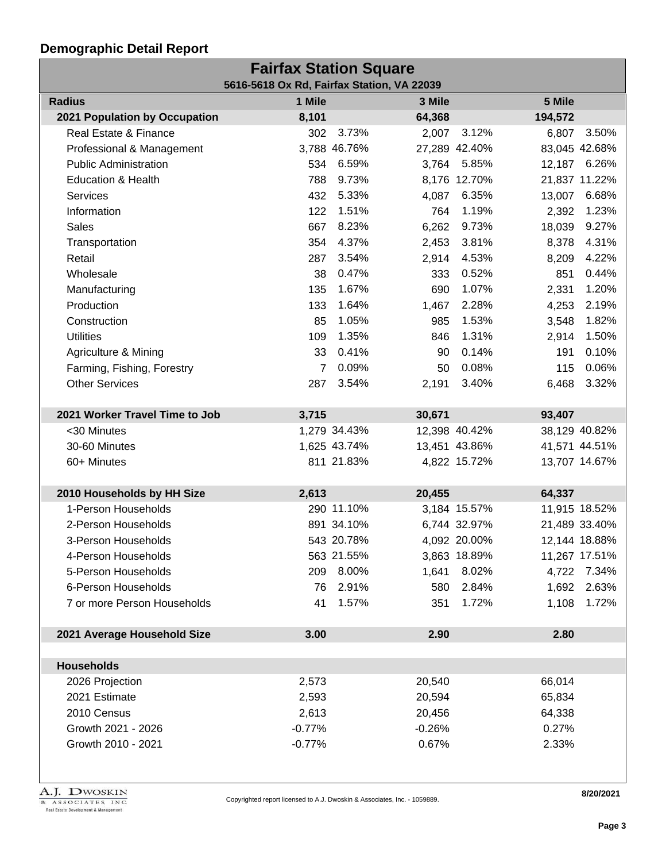| <b>Fairfax Station Square</b>              |          |              |          |               |         |               |  |
|--------------------------------------------|----------|--------------|----------|---------------|---------|---------------|--|
| 5616-5618 Ox Rd, Fairfax Station, VA 22039 |          |              |          |               |         |               |  |
| <b>Radius</b>                              | 1 Mile   |              | 3 Mile   |               | 5 Mile  |               |  |
| 2021 Population by Occupation              | 8,101    |              | 64,368   |               | 194,572 |               |  |
| Real Estate & Finance                      | 302      | 3.73%        | 2,007    | 3.12%         | 6,807   | 3.50%         |  |
| Professional & Management                  |          | 3,788 46.76% |          | 27,289 42.40% |         | 83,045 42.68% |  |
| <b>Public Administration</b>               | 534      | 6.59%        |          | 3,764 5.85%   |         | 12,187 6.26%  |  |
| <b>Education &amp; Health</b>              | 788      | 9.73%        |          | 8,176 12.70%  |         | 21,837 11.22% |  |
| Services                                   | 432      | 5.33%        | 4,087    | 6.35%         | 13,007  | 6.68%         |  |
| Information                                | 122      | 1.51%        | 764      | 1.19%         | 2,392   | 1.23%         |  |
| <b>Sales</b>                               | 667      | 8.23%        | 6,262    | 9.73%         | 18,039  | 9.27%         |  |
| Transportation                             | 354      | 4.37%        | 2,453    | 3.81%         | 8,378   | 4.31%         |  |
| Retail                                     | 287      | 3.54%        | 2,914    | 4.53%         | 8,209   | 4.22%         |  |
| Wholesale                                  | 38       | 0.47%        | 333      | 0.52%         | 851     | 0.44%         |  |
| Manufacturing                              | 135      | 1.67%        | 690      | 1.07%         | 2,331   | 1.20%         |  |
| Production                                 | 133      | 1.64%        | 1,467    | 2.28%         | 4,253   | 2.19%         |  |
| Construction                               | 85       | 1.05%        | 985      | 1.53%         | 3,548   | 1.82%         |  |
| <b>Utilities</b>                           | 109      | 1.35%        | 846      | 1.31%         | 2,914   | 1.50%         |  |
| Agriculture & Mining                       | 33       | 0.41%        | 90       | 0.14%         | 191     | 0.10%         |  |
| Farming, Fishing, Forestry                 | 7        | 0.09%        | 50       | 0.08%         | 115     | 0.06%         |  |
| <b>Other Services</b>                      | 287      | 3.54%        | 2,191    | 3.40%         | 6,468   | 3.32%         |  |
|                                            |          |              |          |               |         |               |  |
| 2021 Worker Travel Time to Job             | 3,715    |              | 30,671   |               | 93,407  |               |  |
| <30 Minutes                                |          | 1,279 34.43% |          | 12,398 40.42% |         | 38,129 40.82% |  |
| 30-60 Minutes                              |          | 1,625 43.74% |          | 13,451 43.86% |         | 41,571 44.51% |  |
| 60+ Minutes                                |          | 811 21.83%   |          | 4,822 15.72%  |         | 13,707 14.67% |  |
|                                            |          |              |          |               |         |               |  |
| 2010 Households by HH Size                 | 2,613    |              | 20,455   |               | 64,337  |               |  |
| 1-Person Households                        |          | 290 11.10%   |          | 3,184 15.57%  |         | 11,915 18.52% |  |
| 2-Person Households                        |          | 891 34.10%   |          | 6,744 32.97%  |         | 21,489 33.40% |  |
| 3-Person Households                        |          | 543 20.78%   |          | 4,092 20.00%  |         | 12,144 18.88% |  |
| 4-Person Households                        |          | 563 21.55%   |          | 3,863 18.89%  |         | 11,267 17.51% |  |
| 5-Person Households                        | 209      | 8.00%        | 1,641    | 8.02%         |         | 4,722 7.34%   |  |
| 6-Person Households                        | 76       | 2.91%        | 580      | 2.84%         |         | 1,692 2.63%   |  |
| 7 or more Person Households                | 41       | 1.57%        | 351      | 1.72%         | 1,108   | 1.72%         |  |
|                                            |          |              |          |               |         |               |  |
| 2021 Average Household Size                | 3.00     |              | 2.90     |               | 2.80    |               |  |
|                                            |          |              |          |               |         |               |  |
| <b>Households</b>                          |          |              |          |               |         |               |  |
| 2026 Projection                            | 2,573    |              | 20,540   |               | 66,014  |               |  |
| 2021 Estimate                              | 2,593    |              | 20,594   |               | 65,834  |               |  |
| 2010 Census                                | 2,613    |              | 20,456   |               | 64,338  |               |  |
| Growth 2021 - 2026                         | $-0.77%$ |              | $-0.26%$ |               | 0.27%   |               |  |
| Growth 2010 - 2021                         | $-0.77%$ |              | 0.67%    |               | 2.33%   |               |  |

**8/20/2021**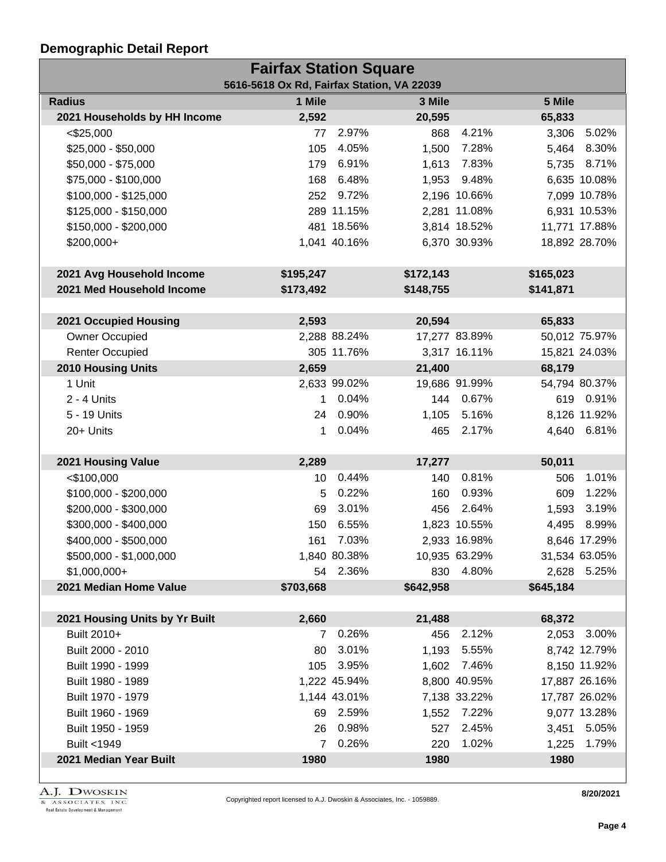| <b>Fairfax Station Square</b><br>5616-5618 Ox Rd, Fairfax Station, VA 22039 |              |              |           |               |           |               |  |  |
|-----------------------------------------------------------------------------|--------------|--------------|-----------|---------------|-----------|---------------|--|--|
| <b>Radius</b>                                                               | 1 Mile       |              | 3 Mile    |               | 5 Mile    |               |  |  |
| 2021 Households by HH Income                                                | 2,592        |              | 20,595    |               | 65,833    |               |  |  |
| $<$ \$25,000                                                                | 77           | 2.97%        | 868       | 4.21%         | 3,306     | 5.02%         |  |  |
| $$25,000 - $50,000$                                                         | 105          | 4.05%        | 1,500     | 7.28%         |           | 5,464 8.30%   |  |  |
| \$50,000 - \$75,000                                                         | 179          | 6.91%        | 1,613     | 7.83%         |           | 5,735 8.71%   |  |  |
| \$75,000 - \$100,000                                                        | 168          | 6.48%        |           | 1,953 9.48%   |           | 6,635 10.08%  |  |  |
| \$100,000 - \$125,000                                                       | 252          | 9.72%        |           | 2,196 10.66%  |           | 7,099 10.78%  |  |  |
| $$125,000 - $150,000$                                                       |              | 289 11.15%   |           | 2,281 11.08%  |           | 6,931 10.53%  |  |  |
| \$150,000 - \$200,000                                                       |              | 481 18.56%   |           | 3,814 18.52%  |           | 11,771 17.88% |  |  |
| \$200,000+                                                                  |              | 1,041 40.16% |           | 6,370 30.93%  |           | 18,892 28.70% |  |  |
|                                                                             |              |              |           |               |           |               |  |  |
| 2021 Avg Household Income                                                   | \$195,247    |              | \$172,143 |               | \$165,023 |               |  |  |
| 2021 Med Household Income                                                   | \$173,492    |              | \$148,755 |               | \$141,871 |               |  |  |
|                                                                             |              |              |           |               |           |               |  |  |
| 2021 Occupied Housing                                                       | 2,593        |              | 20,594    |               | 65,833    |               |  |  |
| Owner Occupied                                                              |              | 2,288 88.24% |           | 17,277 83.89% |           | 50,012 75.97% |  |  |
| <b>Renter Occupied</b>                                                      |              | 305 11.76%   |           | 3,317 16.11%  |           | 15,821 24.03% |  |  |
| <b>2010 Housing Units</b>                                                   | 2,659        |              | 21,400    |               | 68,179    |               |  |  |
| 1 Unit                                                                      |              | 2,633 99.02% |           | 19,686 91.99% |           | 54,794 80.37% |  |  |
| $2 - 4$ Units                                                               | 1            | 0.04%        |           | 144 0.67%     |           | 619 0.91%     |  |  |
| 5 - 19 Units                                                                | 24           | 0.90%        | 1,105     | 5.16%         |           | 8,126 11.92%  |  |  |
| 20+ Units                                                                   | 1            | 0.04%        | 465       | 2.17%         |           | 4,640 6.81%   |  |  |
|                                                                             |              |              |           |               |           |               |  |  |
| 2021 Housing Value                                                          | 2,289        |              | 17,277    |               | 50,011    |               |  |  |
| $<$ \$100,000                                                               | 10           | 0.44%        | 140       | 0.81%         | 506       | 1.01%         |  |  |
| \$100,000 - \$200,000                                                       | 5            | 0.22%        | 160       | 0.93%         | 609       | 1.22%         |  |  |
| \$200,000 - \$300,000                                                       | 69           | 3.01%        | 456       | 2.64%         | 1,593     | 3.19%         |  |  |
| \$300,000 - \$400,000                                                       | 150          | 6.55%        |           | 1,823 10.55%  | 4,495     | 8.99%         |  |  |
| \$400,000 - \$500,000                                                       | 161          | 7.03%        |           | 2,933 16.98%  |           | 8,646 17.29%  |  |  |
| \$500,000 - \$1,000,000                                                     |              | 1,840 80.38% |           | 10,935 63.29% |           | 31,534 63.05% |  |  |
| $$1,000,000+$                                                               |              | 54 2.36%     |           | 830 4.80%     |           | 2,628 5.25%   |  |  |
| 2021 Median Home Value                                                      | \$703,668    |              | \$642,958 |               | \$645,184 |               |  |  |
| 2021 Housing Units by Yr Built                                              | 2,660        |              | 21,488    |               | 68,372    |               |  |  |
| Built 2010+                                                                 | $\mathbf{7}$ | 0.26%        | 456       | 2.12%         |           | 2,053 3.00%   |  |  |
| Built 2000 - 2010                                                           | 80           | 3.01%        |           | 1,193 5.55%   |           | 8,742 12.79%  |  |  |
| Built 1990 - 1999                                                           | 105          | 3.95%        |           | 1,602 7.46%   |           | 8,150 11.92%  |  |  |
| Built 1980 - 1989                                                           |              | 1,222 45.94% |           | 8,800 40.95%  |           | 17,887 26.16% |  |  |
| Built 1970 - 1979                                                           |              | 1,144 43.01% |           | 7,138 33.22%  |           | 17,787 26.02% |  |  |
| Built 1960 - 1969                                                           |              | 69 2.59%     |           | 1,552 7.22%   |           | 9,077 13.28%  |  |  |
| Built 1950 - 1959                                                           | 26           | 0.98%        | 527       | 2.45%         |           | 3,451 5.05%   |  |  |
| Built <1949                                                                 | 7            | 0.26%        | 220       | 1.02%         | 1,225     | 1.79%         |  |  |
| 2021 Median Year Built                                                      | 1980         |              | 1980      |               | 1980      |               |  |  |
|                                                                             |              |              |           |               |           |               |  |  |

A.J. DWOSKIN REAL ASSOCIATES, INC.<br>Real Estate Development & Management

**8/20/2021**